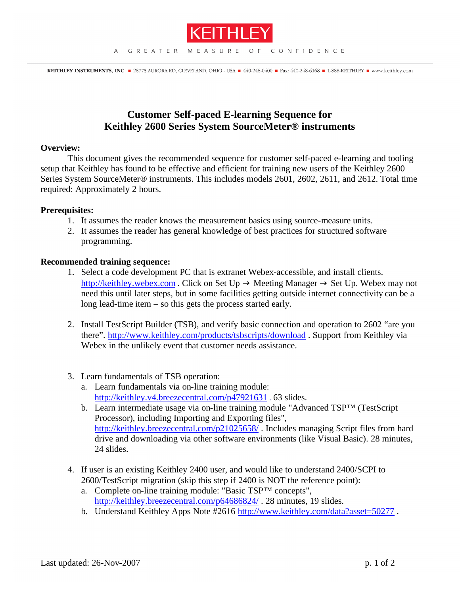

## **Customer Self-paced E-learning Sequence for Keithley 2600 Series System SourceMeter® instruments**

## **Overview:**

This document gives the recommended sequence for customer self-paced e-learning and tooling setup that Keithley has found to be effective and efficient for training new users of the Keithley 2600 Series System SourceMeter® instruments. This includes models 2601, 2602, 2611, and 2612. Total time required: Approximately 2 hours.

## **Prerequisites:**

- 1. It assumes the reader knows the measurement basics using source-measure units.
- 2. It assumes the reader has general knowledge of best practices for structured software programming.

## **Recommended training sequence:**

- 1. Select a code development PC that is extranet Webex-accessible, and install clients. http://keithley.webex.com . Click on Set Up  $\rightarrow$  Meeting Manager  $\rightarrow$  Set Up. Webex may not need this until later steps, but in some facilities getting outside internet connectivity can be a long lead-time item – so this gets the process started early.
- 2. Install TestScript Builder (TSB), and verify basic connection and operation to 2602 "are you there". http://www.keithley.com/products/tsbscripts/download . Support from Keithley via Webex in the unlikely event that customer needs assistance.
- 3. Learn fundamentals of TSB operation:
	- a. Learn fundamentals via on-line training module: http://keithley.v4.breezecentral.com/p47921631 . 63 slides.
	- b. Learn intermediate usage via on-line training module "Advanced TSP™ (TestScript Processor), including Importing and Exporting files", http://keithley.breezecentral.com/p21025658/. Includes managing Script files from hard drive and downloading via other software environments (like Visual Basic). 28 minutes, 24 slides.
- 4. If user is an existing Keithley 2400 user, and would like to understand 2400/SCPI to 2600/TestScript migration (skip this step if 2400 is NOT the reference point):
	- a. Complete on-line training module: "Basic TSP™ concepts", http://keithley.breezecentral.com/p64686824/ . 28 minutes, 19 slides.
	- b. Understand Keithley Apps Note #2616 http://www.keithley.com/data?asset=50277.